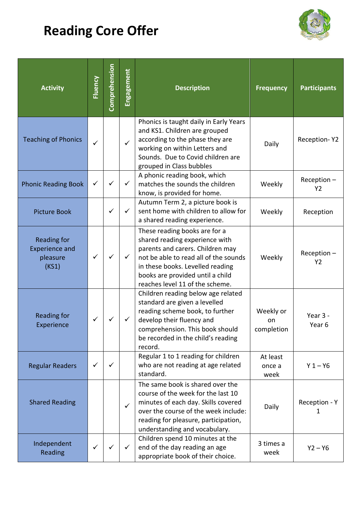## **Reading Core Offer**



| <b>Activity</b>                                                  | <b>Fluency</b> | Comprehension | Engagement   | <b>Description</b>                                                                                                                                                                                                                                      | <b>Frequency</b>              | <b>Participants</b>             |
|------------------------------------------------------------------|----------------|---------------|--------------|---------------------------------------------------------------------------------------------------------------------------------------------------------------------------------------------------------------------------------------------------------|-------------------------------|---------------------------------|
| <b>Teaching of Phonics</b>                                       | $\checkmark$   |               | $\checkmark$ | Phonics is taught daily in Early Years<br>and KS1. Children are grouped<br>according to the phase they are<br>working on within Letters and<br>Sounds. Due to Covid children are<br>grouped in Class bubbles                                            | Daily                         | Reception-Y2                    |
| <b>Phonic Reading Book</b>                                       | ✓              |               |              | A phonic reading book, which<br>matches the sounds the children<br>know, is provided for home.                                                                                                                                                          | Weekly                        | $Reception -$<br>Y <sub>2</sub> |
| <b>Picture Book</b>                                              |                | ✓             | ✓            | Autumn Term 2, a picture book is<br>sent home with children to allow for<br>a shared reading experience.                                                                                                                                                | Weekly                        | Reception                       |
| <b>Reading for</b><br><b>Experience and</b><br>pleasure<br>(KS1) | ✓              |               | ✓            | These reading books are for a<br>shared reading experience with<br>parents and carers. Children may<br>not be able to read all of the sounds<br>in these books. Levelled reading<br>books are provided until a child<br>reaches level 11 of the scheme. | Weekly                        | $Reception -$<br><b>Y2</b>      |
| <b>Reading for</b><br>Experience                                 |                |               |              | Children reading below age related<br>standard are given a levelled<br>reading scheme book, to further<br>develop their fluency and<br>comprehension. This book should<br>be recorded in the child's reading<br>record.                                 | Weekly or<br>on<br>completion | Year 3 -<br>Year 6              |
| <b>Regular Readers</b>                                           | $\checkmark$   | $\checkmark$  |              | Regular 1 to 1 reading for children<br>who are not reading at age related<br>standard.                                                                                                                                                                  | At least<br>once a<br>week    | $Y 1 - Y6$                      |
| <b>Shared Reading</b>                                            |                |               | $\checkmark$ | The same book is shared over the<br>course of the week for the last 10<br>minutes of each day. Skills covered<br>over the course of the week include:<br>reading for pleasure, participation,<br>understanding and vocabulary.                          | Daily                         | Reception - Y<br>1              |
| Independent<br>Reading                                           | $\checkmark$   | ✓             | $\checkmark$ | Children spend 10 minutes at the<br>end of the day reading an age<br>appropriate book of their choice.                                                                                                                                                  | 3 times a<br>week             | $Y2 - Y6$                       |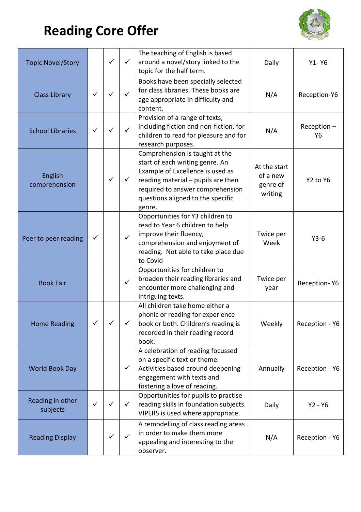## **Reading Core Offer**



| <b>Topic Novel/Story</b>     |   | $\checkmark$ | $\checkmark$ | The teaching of English is based<br>around a novel/story linked to the<br>topic for the half term.                                                                                                                             | Daily                                           | $Y1 - Y6$                        |
|------------------------------|---|--------------|--------------|--------------------------------------------------------------------------------------------------------------------------------------------------------------------------------------------------------------------------------|-------------------------------------------------|----------------------------------|
| <b>Class Library</b>         |   | ✓            | ✓            | Books have been specially selected<br>for class libraries. These books are<br>age appropriate in difficulty and<br>content.                                                                                                    | N/A                                             | Reception-Y6                     |
| <b>School Libraries</b>      | ✓ |              | ✓            | Provision of a range of texts,<br>including fiction and non-fiction, for<br>children to read for pleasure and for<br>research purposes.                                                                                        | N/A                                             | $Reception -$<br>Y6              |
| English<br>comprehension     |   |              |              | Comprehension is taught at the<br>start of each writing genre. An<br>Example of Excellence is used as<br>reading material - pupils are then<br>required to answer comprehension<br>questions aligned to the specific<br>genre. | At the start<br>of a new<br>genre of<br>writing | Y <sub>2</sub> to Y <sub>6</sub> |
| Peer to peer reading         | ✓ |              | $\checkmark$ | Opportunities for Y3 children to<br>read to Year 6 children to help<br>improve their fluency,<br>comprehension and enjoyment of<br>reading. Not able to take place due<br>to Covid                                             | Twice per<br>Week                               | $Y3-6$                           |
| <b>Book Fair</b>             |   |              | $\checkmark$ | Opportunities for children to<br>broaden their reading libraries and<br>encounter more challenging and<br>intriguing texts.                                                                                                    | Twice per<br>year                               | Reception-Y6                     |
| <b>Home Reading</b>          |   |              |              | All children take home either a<br>phonic or reading for experience<br>book or both. Children's reading is<br>recorded in their reading record<br>book.                                                                        | Weekly                                          | Reception - Y6                   |
| World Book Day               |   |              | $\checkmark$ | A celebration of reading focussed<br>on a specific text or theme.<br>Activities based around deepening<br>engagement with texts and<br>fostering a love of reading.                                                            | Annually                                        | Reception - Y6                   |
| Reading in other<br>subjects |   |              | ✓            | Opportunities for pupils to practise<br>reading skills in foundation subjects.<br>VIPERS is used where appropriate.                                                                                                            | Daily                                           | $Y2 - Y6$                        |
| <b>Reading Display</b>       |   | ✓            | ✓            | A remodelling of class reading areas<br>in order to make them more<br>appealing and interesting to the<br>observer.                                                                                                            | N/A                                             | Reception - Y6                   |